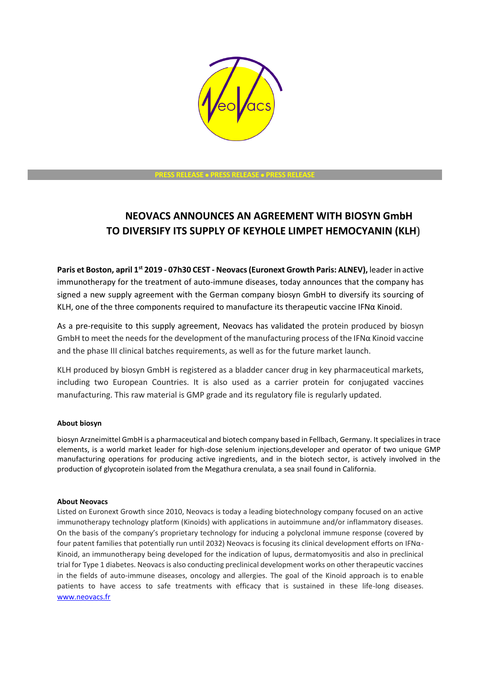

**PRESS RELEASE PRESS RELEASE PRESS RELEASE** 

## **NEOVACS ANNOUNCES AN AGREEMENT WITH BIOSYN GmbH TO DIVERSIFY ITS SUPPLY OF KEYHOLE LIMPET HEMOCYANIN (KLH**)

**Paris et Boston, april 1st 2019 - 07h30 CEST - Neovacs(Euronext Growth Paris: ALNEV),** leader in active immunotherapy for the treatment of auto-immune diseases, today announces that the company has signed a new supply agreement with the German company biosyn GmbH to diversify its sourcing of KLH, one of the three components required to manufacture its therapeutic vaccine IFNα Kinoid.

As a pre-requisite to this supply agreement, Neovacs has validated the protein produced by biosyn GmbH to meet the needs for the development of the manufacturing process of the IFNα Kinoid vaccine and the phase III clinical batches requirements, as well as for the future market launch.

KLH produced by biosyn GmbH is registered as a bladder cancer drug in key pharmaceutical markets, including two European Countries. It is also used as a carrier protein for conjugated vaccines manufacturing. This raw material is GMP grade and its regulatory file is regularly updated.

## **About biosyn**

biosyn Arzneimittel GmbH is a pharmaceutical and biotech company based in Fellbach, Germany. It specializes in trace elements, is a world market leader for high-dose selenium injections,developer and operator of two unique GMP manufacturing operations for producing active ingredients, and in the biotech sector, is actively involved in the production of glycoprotein isolated from the Megathura crenulata, a sea snail found in California.

## **About Neovacs**

Listed on Euronext Growth since 2010, Neovacs is today a leading biotechnology company focused on an active immunotherapy technology platform (Kinoids) with applications in autoimmune and/or inflammatory diseases. On the basis of the company's proprietary technology for inducing a polyclonal immune response (covered by four patent families that potentially run until 2032) Neovacs is focusing its clinical development efforts on IFNα-Kinoid, an immunotherapy being developed for the indication of lupus, dermatomyositis and also in preclinical trial for Type 1 diabetes. Neovacs is also conducting preclinical development works on other therapeutic vaccines in the fields of auto-immune diseases, oncology and allergies. The goal of the Kinoid approach is to enable patients to have access to safe treatments with efficacy that is sustained in these life-long diseases. [www.neovacs.fr](http://www.neovacs.fr/)